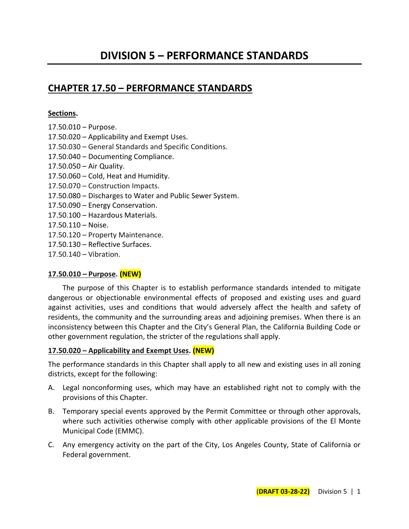# **CHAPTER 17.50 – PERFORMANCE STANDARDS**

### **Sections.**

- 17.50.010 Purpose. 17.50.020 – Applicability and Exempt Uses. 17.50.030 – General Standards and Specific Conditions. 17.50.040 – Documenting Compliance. 17.50.050 – Air Quality.
- 17.50.060 Cold, Heat and Humidity.
- 17.50.070 Construction Impacts.
- 17.50.080 Discharges to Water and Public Sewer System.
- 17.50.090 Energy Conservation.
- 17.50.100 Hazardous Materials.
- 17.50.110 Noise.
- 17.50.120 Property Maintenance.
- 17.50.130 Reflective Surfaces.
- 17.50.140 Vibration.

## **17.50.010 – Purpose. (NEW)**

The purpose of this Chapter is to establish performance standards intended to mitigate dangerous or objectionable environmental effects of proposed and existing uses and guard against activities, uses and conditions that would adversely affect the health and safety of residents, the community and the surrounding areas and adjoining premises. When there is an inconsistency between this Chapter and the City's General Plan, the California Building Code or other government regulation, the stricter of the regulations shall apply.

## **17.50.020 – Applicability and Exempt Uses. (NEW)**

The performance standards in this Chapter shall apply to all new and existing uses in all zoning districts, except for the following:

- A. Legal nonconforming uses, which may have an established right not to comply with the provisions of this Chapter.
- B. Temporary special events approved by the Permit Committee or through other approvals, where such activities otherwise comply with other applicable provisions of the El Monte Municipal Code (EMMC).
- C. Any emergency activity on the part of the City, Los Angeles County, State of California or Federal government.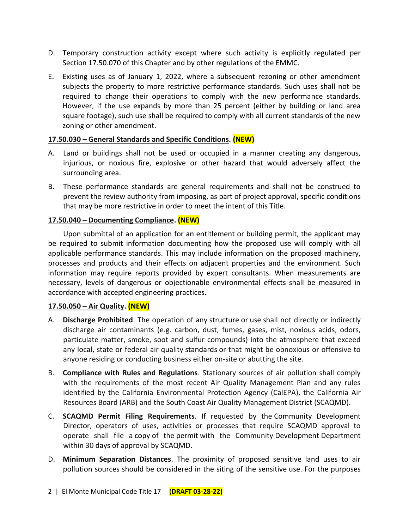- D. Temporary construction activity except where such activity is explicitly regulated per Section 17.50.070 of this Chapter and by other regulations of the EMMC.
- E. Existing uses as of January 1, 2022, where a subsequent rezoning or other amendment subjects the property to more restrictive performance standards. Such uses shall not be required to change their operations to comply with the new performance standards. However, if the use expands by more than 25 percent (either by building or land area square footage), such use shall be required to comply with all current standards of the new zoning or other amendment.

## **17.50.030 – General Standards and Specific Conditions. (NEW)**

- A. Land or buildings shall not be used or occupied in a manner creating any dangerous, injurious, or noxious fire, explosive or other hazard that would adversely affect the surrounding area.
- B. These performance standards are general requirements and shall not be construed to prevent the review authority from imposing, as part of project approval, specific conditions that may be more restrictive in order to meet the intent of this Title.

## **17.50.040 – Documenting Compliance. (NEW)**

Upon submittal of an application for an entitlement or building permit, the applicant may be required to submit information documenting how the proposed use will comply with all applicable performance standards. This may include information on the proposed machinery, processes and products and their effects on adjacent properties and the environment. Such information may require reports provided by expert consultants. When measurements are necessary, levels of dangerous or objectionable environmental effects shall be measured in accordance with accepted engineering practices.

#### **17.50.050 – Air Quality. (NEW)**

- A. **Discharge Prohibited**. The operation of any [structure](http://online.encodeplus.com/regs/menifee-ca/doc-view.aspx?pn=0&ajax=0&secid=1936) or [use](http://online.encodeplus.com/regs/menifee-ca/doc-view.aspx?pn=0&ajax=0&secid=1954) shall not directly or indirectly discharge air contaminants (e.g. carbon, dust, fumes, gases, mist, noxious acids, odors, particulate matter, smoke, soot and sulfur compounds) into the atmosphere that exceed any local, state or federal air quality [standards](http://online.encodeplus.com/regs/menifee-ca/doc-view.aspx?pn=0&ajax=0&secid=1931) or that might be obnoxious or offensive to anyone residing or conducting business either on-site or abutting the [site.](http://online.encodeplus.com/regs/menifee-ca/doc-view.aspx?pn=0&ajax=0&secid=1926)
- B. **Compliance with Rules and Regulations**. Stationary sources of air pollution shall comply with the requirements of the most recent Air Quality Management Plan and any rules identified by the California Environmental Protection Agency (CalEPA), the California Air Resources Board (ARB) and the South Coast Air Quality Management [District](http://online.encodeplus.com/regs/menifee-ca/doc-view.aspx?pn=0&ajax=0&secid=1696) (SCAQMD).
- C. **SCAQMD [Permit](http://online.encodeplus.com/regs/menifee-ca/doc-view.aspx?pn=0&ajax=0&secid=1850) Filing Requirements**. If requested by the [Community Development](http://online.encodeplus.com/regs/menifee-ca/doc-view.aspx?pn=0&ajax=0&secid=1668)  [Director,](http://online.encodeplus.com/regs/menifee-ca/doc-view.aspx?pn=0&ajax=0&secid=1668) operators of uses, activities or processes that require SCAQMD approval to operate shall file a [copy](http://online.encodeplus.com/regs/menifee-ca/doc-view.aspx?pn=0&ajax=0&secid=2069) of the [permit](http://online.encodeplus.com/regs/menifee-ca/doc-view.aspx?pn=0&ajax=0&secid=1850) with the Community [Development](http://online.encodeplus.com/regs/menifee-ca/doc-view.aspx?pn=0&ajax=0&secid=1690) Department within 30 [days](http://online.encodeplus.com/regs/menifee-ca/doc-view.aspx?pn=0&ajax=0&secid=1684) of approval by SCAQMD.
- D. **Minimum Separation Distances**. The proximity of proposed sensitive land uses to air pollution sources should be considered in the siting of the sensitive [use.](http://online.encodeplus.com/regs/menifee-ca/doc-view.aspx?pn=0&ajax=0&secid=1954) For the purposes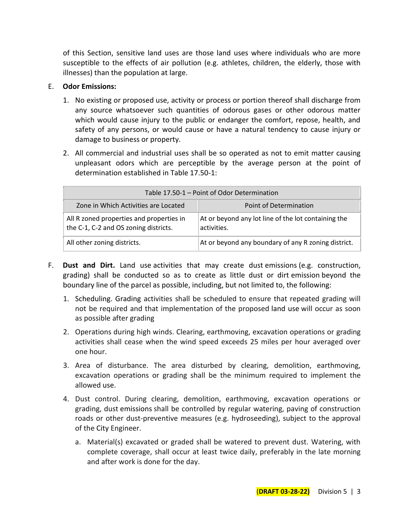of this Section, sensitive land uses are those land uses where individuals who are more susceptible to the effects of air pollution (e.g. athletes, children, the elderly, those with illnesses) than the population at large.

#### E. **Odor Emissions:**

- 1. No existing or proposed use, activity or process or portion thereof shall discharge from any source whatsoever such quantities of odorous gases or other odorous matter which would cause injury to the public or endanger the comfort, repose, health, and safety of any persons, or would cause or have a natural tendency to cause injury or damage to business or property.
- 2. All commercial and industrial uses shall be so operated as not to emit matter causing unpleasant odors which are perceptible by the average person at the point of determination established in Table 17.50-1:

| Table 17.50-1 – Point of Odor Determination                                       |                                                                    |  |  |
|-----------------------------------------------------------------------------------|--------------------------------------------------------------------|--|--|
| Zone in Which Activities are Located                                              | Point of Determination                                             |  |  |
| All R zoned properties and properties in<br>the C-1, C-2 and OS zoning districts. | At or beyond any lot line of the lot containing the<br>activities. |  |  |
| All other zoning districts.                                                       | At or beyond any boundary of any R zoning district.                |  |  |

- F. **Dust and Dirt.** [Land use](http://online.encodeplus.com/regs/menifee-ca/doc-view.aspx?pn=0&ajax=0&secid=1777) activities that may create dust [emissions](http://online.encodeplus.com/regs/menifee-ca/doc-view.aspx?pn=0&ajax=0&secid=1713) (e.g. construction, grading) shall be conducted so as to create as little dust or dirt [emission](http://online.encodeplus.com/regs/menifee-ca/doc-view.aspx?pn=0&ajax=0&secid=1713) beyond the boundary line of the parcel as possible, including, but not limited to, the following:
	- 1. Scheduling. Grading activities shall be scheduled to ensure that repeated grading will not be required and that implementation of the proposed [land use](http://online.encodeplus.com/regs/menifee-ca/doc-view.aspx?pn=0&ajax=0&secid=1777) will occur as soon as possible after grading
	- 2. Operations during high winds. Clearing, earthmoving, excavation operations or grading activities shall cease when the wind speed exceeds 25 miles per hour averaged over one hour.
	- 3. Area of disturbance. The area disturbed by clearing, demolition, earthmoving, excavation operations or grading shall be the minimum required to implement the allowed [use.](http://online.encodeplus.com/regs/menifee-ca/doc-view.aspx?pn=0&ajax=0&secid=1954)
	- 4. Dust control. During clearing, demolition, earthmoving, excavation operations or grading, dust [emissions](http://online.encodeplus.com/regs/menifee-ca/doc-view.aspx?pn=0&ajax=0&secid=1713) shall be controlled by regular watering, paving of construction roads or other dust-preventive measures (e.g. hydroseeding), subject to the approval of the [City](http://online.encodeplus.com/regs/menifee-ca/doc-view.aspx?pn=0&ajax=0&secid=1658) Engineer.
		- a. Material(s) excavated or graded shall be watered to prevent dust. Watering, with complete coverage, shall occur at least twice daily, preferably in the late morning and after work is done for the day.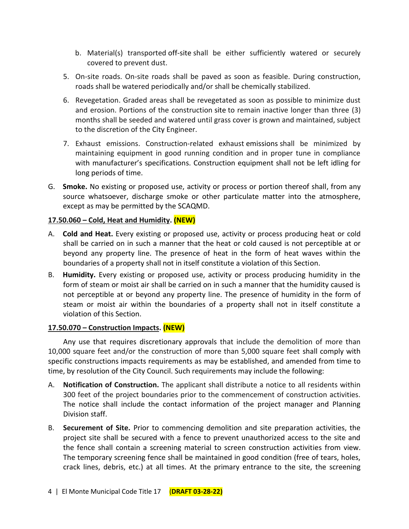- b. Material(s) transported [off-site](http://online.encodeplus.com/regs/menifee-ca/doc-view.aspx?pn=0&ajax=0&secid=1833) shall be either sufficiently watered or securely covered to prevent dust.
- 5. On-site roads. On-site roads shall be paved as soon as feasible. During construction, roads shall be watered periodically and/or shall be chemically stabilized.
- 6. Revegetation. Graded areas shall be revegetated as soon as possible to minimize dust and erosion. Portions of the construction [site](http://online.encodeplus.com/regs/menifee-ca/doc-view.aspx?pn=0&ajax=0&secid=1926) to remain inactive longer than three (3) months shall be seeded and watered until grass cover is grown and maintained, subject to the discretion of the [City](http://online.encodeplus.com/regs/menifee-ca/doc-view.aspx?pn=0&ajax=0&secid=1658) Engineer.
- 7. Exhaust emissions. Construction-related exhaust [emissions](http://online.encodeplus.com/regs/menifee-ca/doc-view.aspx?pn=0&ajax=0&secid=1713) shall be minimized by maintaining equipment in good running condition and in proper tune in compliance with manufacturer's specifications. Construction equipment shall not be left idling for long periods of time.
- G. **Smoke.** No existing or proposed use, activity or process or portion thereof shall, from any source whatsoever, discharge smoke or other particulate matter into the atmosphere, except as may be permitted by the SCAQMD.

#### **17.50.060 – Cold, Heat and Humidity. (NEW)**

- A. **Cold and Heat.** Every existing or proposed use, activity or process producing heat or cold shall be carried on in such a manner that the heat or cold caused is not perceptible at or beyond any property line. The presence of heat in the form of heat waves within the boundaries of a property shall not in itself constitute a violation of this Section.
- B. **Humidity.** Every existing or proposed use, activity or process producing humidity in the form of steam or moist air shall be carried on in such a manner that the humidity caused is not perceptible at or beyond any property line. The presence of humidity in the form of steam or moist air within the boundaries of a property shall not in itself constitute a violation of this Section.

#### **17.50.070 – Construction Impacts. (NEW)**

Any use that requires discretionary approvals that include the demolition of more than 10,000 square feet and/or the construction of more than 5,000 square feet shall comply with specific constructions impacts requirements as may be established, and amended from time to time, by resolution of the City Council. Such requirements may include the following:

- A. **Notification of Construction.** The applicant shall distribute a notice to all residents within 300 feet of the project boundaries prior to the commencement of construction activities. The notice shall include the contact information of the project manager and Planning Division staff.
- B. **Securement of Site.** Prior to commencing demolition and site preparation activities, the project site shall be secured with a fence to prevent unauthorized access to the site and the fence shall contain a screening material to screen construction activities from view. The temporary screening fence shall be maintained in good condition (free of tears, holes, crack lines, debris, etc.) at all times. At the primary entrance to the site, the screening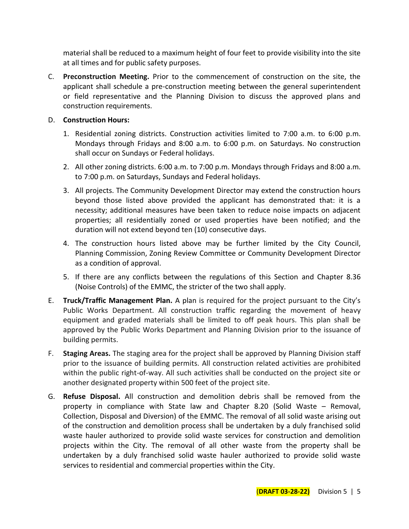material shall be reduced to a maximum height of four feet to provide visibility into the site at all times and for public safety purposes.

C. **Preconstruction Meeting.** Prior to the commencement of construction on the site, the applicant shall schedule a pre-construction meeting between the general superintendent or field representative and the Planning Division to discuss the approved plans and construction requirements.

## D. **Construction Hours:**

- 1. Residential zoning districts. Construction activities limited to 7:00 a.m. to 6:00 p.m. Mondays through Fridays and 8:00 a.m. to 6:00 p.m. on Saturdays. No construction shall occur on Sundays or Federal holidays.
- 2. All other zoning districts. 6:00 a.m. to 7:00 p.m. Mondays through Fridays and 8:00 a.m. to 7:00 p.m. on Saturdays, Sundays and Federal holidays.
- 3. All projects. The Community Development Director may extend the construction hours beyond those listed above provided the applicant has demonstrated that: it is a necessity; additional measures have been taken to reduce noise impacts on adjacent properties; all residentially zoned or used properties have been notified; and the duration will not extend beyond ten (10) consecutive days.
- 4. The construction hours listed above may be further limited by the City Council, Planning Commission, Zoning Review Committee or Community Development Director as a condition of approval.
- 5. If there are any conflicts between the regulations of this Section and Chapter 8.36 (Noise Controls) of the EMMC, the stricter of the two shall apply.
- E. **Truck/Traffic Management Plan.** A plan is required for the project pursuant to the City's Public Works Department. All construction traffic regarding the movement of heavy equipment and graded materials shall be limited to off peak hours. This plan shall be approved by the Public Works Department and Planning Division prior to the issuance of building permits.
- F. **Staging Areas.** The staging area for the project shall be approved by Planning Division staff prior to the issuance of building permits. All construction related activities are prohibited within the public right-of-way. All such activities shall be conducted on the project site or another designated property within 500 feet of the project site.
- G. **Refuse Disposal.** All construction and demolition debris shall be removed from the property in compliance with State law and Chapter 8.20 (Solid Waste – Removal, Collection, Disposal and Diversion) of the EMMC. The removal of all solid waste arising out of the construction and demolition process shall be undertaken by a duly franchised solid waste hauler authorized to provide solid waste services for construction and demolition projects within the City. The removal of all other waste from the property shall be undertaken by a duly franchised solid waste hauler authorized to provide solid waste services to residential and commercial properties within the City.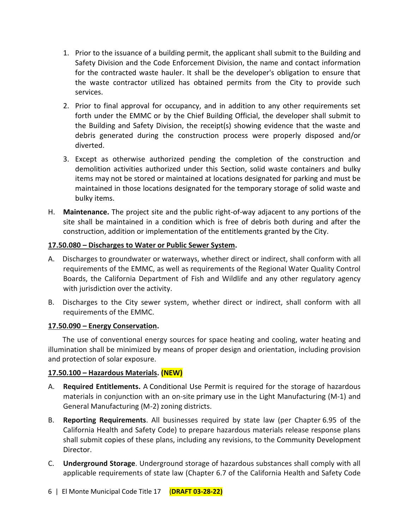- 1. Prior to the issuance of a building permit, the applicant shall submit to the Building and Safety Division and the Code Enforcement Division, the name and contact information for the contracted waste hauler. It shall be the developer's obligation to ensure that the waste contractor utilized has obtained permits from the City to provide such services.
- 2. Prior to final approval for occupancy, and in addition to any other requirements set forth under the EMMC or by the Chief Building Official, the developer shall submit to the Building and Safety Division, the receipt(s) showing evidence that the waste and debris generated during the construction process were properly disposed and/or diverted.
- 3. Except as otherwise authorized pending the completion of the construction and demolition activities authorized under this Section, solid waste containers and bulky items may not be stored or maintained at locations designated for parking and must be maintained in those locations designated for the temporary storage of solid waste and bulky items.
- H. **Maintenance.** The project site and the public right-of-way adjacent to any portions of the site shall be maintained in a condition which is free of debris both during and after the construction, addition or implementation of the entitlements granted by the City.

#### **17.50.080 – Discharges to Water or Public Sewer System.**

- A. Discharges to groundwater or waterways, whether direct or indirect, shall conform with all requirements of the EMMC, as well as requirements of the Regional Water Quality Control Boards, the California Department of Fish and Wildlife and any other regulatory agency with jurisdiction over the activity.
- B. Discharges to the City sewer system, whether direct or indirect, shall conform with all requirements of the EMMC.

#### **17.50.090 – Energy Conservation.**

The use of conventional energy sources for space heating and cooling, water heating and illumination shall be minimized by means of proper design and orientation, including provision and protection of solar exposure.

## **17.50.100 – Hazardous Materials. (NEW)**

- A. **Required Entitlements.** A [Conditional Use Permit](http://online.encodeplus.com/regs/menifee-ca/doc-view.aspx?pn=0&ajax=0&secid=1671) is required for the storage of hazardous materials in conjunction with an on-site [primary use](http://online.encodeplus.com/regs/menifee-ca/doc-view.aspx?pn=0&ajax=0&secid=1956) in the Light Manufacturing (M-1) and General Manufacturing (M-2) zoning districts.
- B. **Reporting Requirements**. All businesses required by state law (per Chapter 6.95 of the California Health and Safety Code) to prepare hazardous materials release response plans shall submit [copies](http://online.encodeplus.com/regs/menifee-ca/doc-view.aspx?pn=0&ajax=0&secid=2069) of these plans, including any revisions, to the [Community Development](http://online.encodeplus.com/regs/menifee-ca/doc-view.aspx?pn=0&ajax=0&secid=1668)  [Director.](http://online.encodeplus.com/regs/menifee-ca/doc-view.aspx?pn=0&ajax=0&secid=1668)
- C. **Underground Storage**. Underground storage of hazardous substances shall comply with all applicable requirements of state law (Chapter 6.7 of the California Health and Safety Code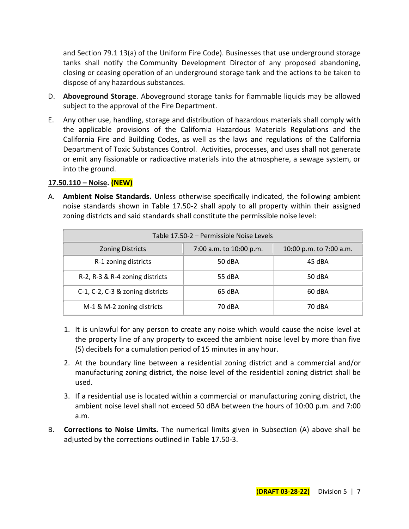and Section 79.1 13(a) of the Uniform Fire Code). Businesses that [use](http://online.encodeplus.com/regs/menifee-ca/doc-view.aspx?pn=0&ajax=0&secid=1954) underground storage tanks shall notify the [Community Development](http://online.encodeplus.com/regs/menifee-ca/doc-view.aspx?pn=0&ajax=0&secid=1668) Director of any proposed abandoning, closing or ceasing operation of an underground storage tank and the [actions](http://online.encodeplus.com/regs/menifee-ca/doc-view.aspx?pn=0&ajax=0&secid=1611) to be taken to dispose of any hazardous substances.

- D. **Aboveground Storage**. Aboveground storage tanks for flammable liquids may be allowed subject to the approval of the Fire Department.
- E. Any other use, handling, storage and distribution of hazardous materials shall comply with the applicable provisions of the California Hazardous Materials Regulations and the California Fire and Building Codes, as well as the laws and regulations of the California Department of Toxic Substances Control. Activities, processes, and uses shall not generate or emit any fissionable or radioactive materials into the atmosphere, a sewage system, or into the ground.

#### **17.50.110 – Noise. (NEW)**

A. **Ambient Noise Standards.** Unless otherwise specifically indicated, the following ambient noise standards shown in Table 17.50-2 shall apply to all property within their assigned zoning districts and said standards shall constitute the permissible noise level:

| Table 17.50-2 – Permissible Noise Levels |                         |                         |  |
|------------------------------------------|-------------------------|-------------------------|--|
| <b>Zoning Districts</b>                  | 7:00 a.m. to 10:00 p.m. | 10:00 p.m. to 7:00 a.m. |  |
| R-1 zoning districts                     | 50 dBA                  | 45 dBA                  |  |
| R-2, R-3 & R-4 zoning districts          | 55 dBA                  | 50 dBA                  |  |
| C-1, C-2, C-3 & zoning districts         | 65 dBA                  | 60 dBA                  |  |
| M-1 & M-2 zoning districts               | 70 dBA                  | 70 dBA                  |  |

- 1. It is unlawful for any person to create any noise which would cause the noise level at the property line of any property to exceed the ambient noise level by more than five (5) decibels for a cumulation period of 15 minutes in any hour.
- 2. At the boundary line between a residential zoning district and a commercial and/or manufacturing zoning district, the noise level of the residential zoning district shall be used.
- 3. If a residential use is located within a commercial or manufacturing zoning district, the ambient noise level shall not exceed 50 dBA between the hours of 10:00 p.m. and 7:00 a.m.
- B. **Corrections to Noise Limits.** The numerical limits given in Subsection (A) above shall be adjusted by the corrections outlined in Table 17.50-3.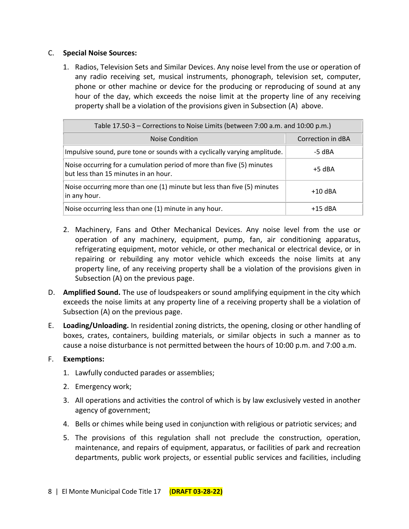#### C. **Special Noise Sources:**

1. Radios, Television Sets and Similar Devices. Any noise level from the use or operation of any radio receiving set, musical instruments, phonograph, television set, computer, phone or other machine or device for the producing or reproducing of sound at any hour of the day, which exceeds the noise limit at the property line of any receiving property shall be a violation of the provisions given in Subsection (A) above.

| Table 17.50-3 – Corrections to Noise Limits (between 7:00 a.m. and 10:00 p.m.)                                |                   |  |
|---------------------------------------------------------------------------------------------------------------|-------------------|--|
| <b>Noise Condition</b>                                                                                        | Correction in dBA |  |
| Impulsive sound, pure tone or sounds with a cyclically varying amplitude.                                     | -5 dBA            |  |
| Noise occurring for a cumulation period of more than five (5) minutes<br>but less than 15 minutes in an hour. | $+5$ dBA          |  |
| Noise occurring more than one (1) minute but less than five (5) minutes<br>in any hour.                       | $+10$ dBA         |  |
| Noise occurring less than one (1) minute in any hour.                                                         | $+15$ dBA         |  |

- 2. Machinery, Fans and Other Mechanical Devices. Any noise level from the use or operation of any machinery, equipment, pump, fan, air conditioning apparatus, refrigerating equipment, motor vehicle, or other mechanical or electrical device, or in repairing or rebuilding any motor vehicle which exceeds the noise limits at any property line, of any receiving property shall be a violation of the provisions given in Subsection (A) on the previous page.
- D. **Amplified Sound.** The use of loudspeakers or sound amplifying equipment in the city which exceeds the noise limits at any property line of a receiving property shall be a violation of Subsection (A) on the previous page.
- E. **Loading/Unloading.** In residential zoning districts, the opening, closing or other handling of boxes, crates, containers, building materials, or similar objects in such a manner as to cause a noise disturbance is not permitted between the hours of 10:00 p.m. and 7:00 a.m.

## F. **Exemptions:**

- 1. Lawfully conducted parades or assemblies;
- 2. Emergency work;
- 3. All operations and activities the control of which is by law exclusively vested in another agency of government;
- 4. Bells or chimes while being used in conjunction with religious or patriotic services; and
- 5. The provisions of this regulation shall not preclude the construction, operation, maintenance, and repairs of equipment, apparatus, or facilities of park and recreation departments, public work projects, or essential public services and facilities, including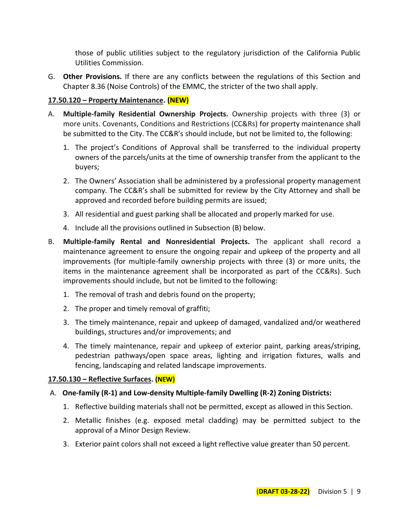those of public utilities subject to the regulatory jurisdiction of the California Public Utilities Commission.

G. **Other Provisions.** If there are any conflicts between the regulations of this Section and Chapter 8.36 (Noise Controls) of the EMMC, the stricter of the two shall apply.

## **17.50.120 – Property Maintenance. (NEW)**

- A. **Multiple-family Residential Ownership Projects.** Ownership projects with three (3) or more units. Covenants, Conditions and Restrictions (CC&Rs) for property maintenance shall be submitted to the City. The CC&R's should include, but not be limited to, the following:
	- 1. The project's Conditions of Approval shall be transferred to the individual property owners of the parcels/units at the time of ownership transfer from the applicant to the buyers;
	- 2. The Owners' Association shall be administered by a professional property management company. The CC&R's shall be submitted for review by the City Attorney and shall be approved and recorded before building permits are issued;
	- 3. All residential and guest parking shall be allocated and properly marked for use.
	- 4. Include all the provisions outlined in Subsection (B) below.
- B. **Multiple-family Rental and Nonresidential Projects.** The applicant shall record a maintenance agreement to ensure the ongoing repair and upkeep of the property and all improvements (for multiple-family ownership projects with three (3) or more units, the items in the maintenance agreement shall be incorporated as part of the CC&Rs). Such improvements should include, but not be limited to the following:
	- 1. The removal of trash and debris found on the property;
	- 2. The proper and timely removal of graffiti;
	- 3. The timely maintenance, repair and upkeep of damaged, vandalized and/or weathered buildings, structures and/or improvements; and
	- 4. The timely maintenance, repair and upkeep of exterior paint, parking areas/striping, pedestrian pathways/open space areas, lighting and irrigation fixtures, walls and fencing, landscaping and related landscape improvements.

## **17.50.130 – Reflective Surfaces. (NEW)**

## A. **One-family (R-1) and Low-density Multiple-family Dwelling (R-2) Zoning Districts:**

- 1. Reflective building materials shall not be permitted, except as allowed in this Section.
- 2. Metallic finishes (e.g. exposed metal cladding) may be permitted subject to the approval of a Minor Design Review.
- 3. Exterior paint colors shall not exceed a light reflective value greater than 50 percent.